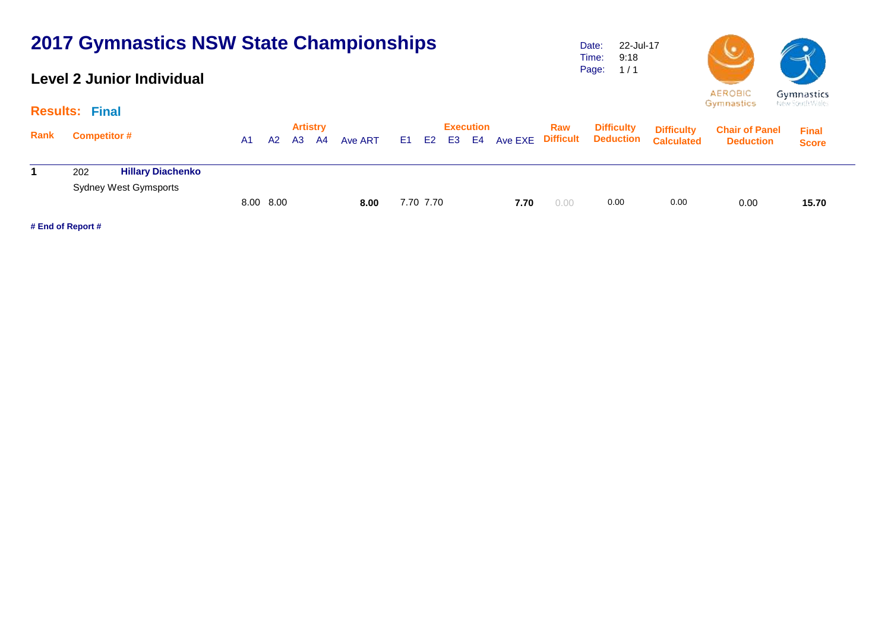#### **Level 2 Junior Individual**

Date: Time: Page: 1 / 1 22-Jul-17 9:18



New South Wales

|      | <b>Results: Final</b>           |           |    |    |                       |         |           |    |                        |         |                         |                                       |                                        | the product state and state of            |                              |  |
|------|---------------------------------|-----------|----|----|-----------------------|---------|-----------|----|------------------------|---------|-------------------------|---------------------------------------|----------------------------------------|-------------------------------------------|------------------------------|--|
| Rank | <b>Competitor #</b>             | A1        | A2 | A3 | <b>Artistry</b><br>A4 | Ave ART | E1 E2     | E3 | <b>Execution</b><br>E4 | Ave EXE | Raw<br><b>Difficult</b> | <b>Difficulty</b><br><b>Deduction</b> | <b>Difficulty</b><br><b>Calculated</b> | <b>Chair of Panel</b><br><b>Deduction</b> | <b>Final</b><br><b>Score</b> |  |
|      | <b>Hillary Diachenko</b><br>202 |           |    |    |                       |         |           |    |                        |         |                         |                                       |                                        |                                           |                              |  |
|      | <b>Sydney West Gymsports</b>    | 8.00 8.00 |    |    |                       | 8.00    | 7.70 7.70 |    |                        | 7.70    | 0.00                    | 0.00                                  | 0.00                                   | 0.00                                      | 15.70                        |  |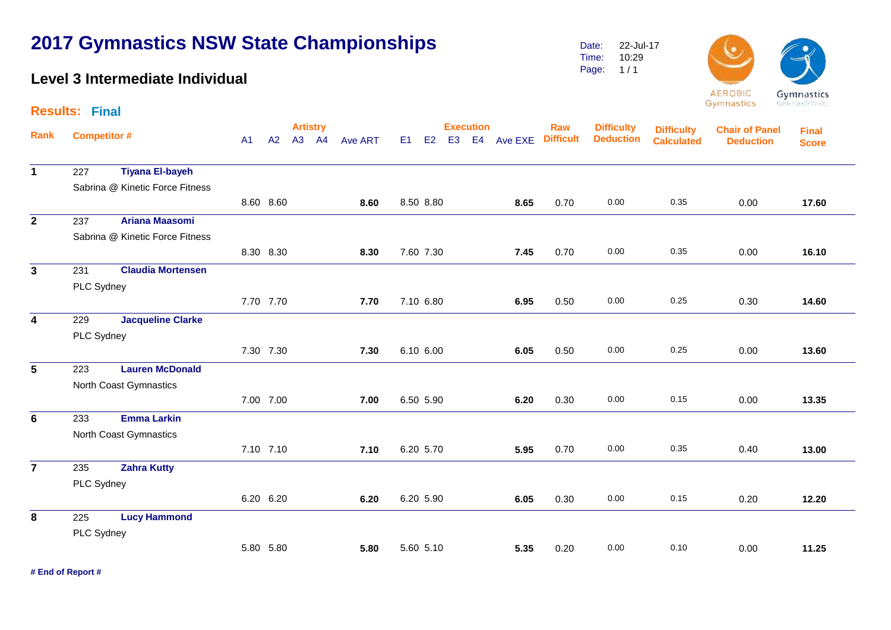#### **Level 3 Intermediate Individual**

Date: Time: Page: 22-Jul-17 10:29  $1/1$ 



Gymnastics New South Wales

| <b>Results: Final</b>   |     |            |                                 |    |           |                          |                |    |           |    |                  |            |                         |                                       |                                        |                                           |                              |  |
|-------------------------|-----|------------|---------------------------------|----|-----------|--------------------------|----------------|----|-----------|----|------------------|------------|-------------------------|---------------------------------------|----------------------------------------|-------------------------------------------|------------------------------|--|
| Rank                    |     |            | <b>Competitor#</b>              | A1 | A2        | <b>Artistry</b><br>A3 A4 | <b>Ave ART</b> | E1 | E2        | E3 | <b>Execution</b> | E4 Ave EXE | Raw<br><b>Difficult</b> | <b>Difficulty</b><br><b>Deduction</b> | <b>Difficulty</b><br><b>Calculated</b> | <b>Chair of Panel</b><br><b>Deduction</b> | <b>Final</b><br><b>Score</b> |  |
|                         |     |            |                                 |    |           |                          |                |    |           |    |                  |            |                         |                                       |                                        |                                           |                              |  |
| $\mathbf 1$             | 227 |            | <b>Tiyana El-bayeh</b>          |    |           |                          |                |    |           |    |                  |            |                         |                                       |                                        |                                           |                              |  |
|                         |     |            | Sabrina @ Kinetic Force Fitness |    |           |                          |                |    |           |    |                  |            |                         |                                       |                                        |                                           |                              |  |
|                         |     |            |                                 |    | 8.60 8.60 |                          | 8.60           |    | 8.50 8.80 |    |                  | 8.65       | 0.70                    | 0.00                                  | 0.35                                   | 0.00                                      | 17.60                        |  |
| $\mathbf{2}$            | 237 |            | <b>Ariana Maasomi</b>           |    |           |                          |                |    |           |    |                  |            |                         |                                       |                                        |                                           |                              |  |
|                         |     |            | Sabrina @ Kinetic Force Fitness |    |           |                          |                |    |           |    |                  |            |                         |                                       |                                        |                                           |                              |  |
|                         |     |            |                                 |    | 8.30 8.30 |                          | 8.30           |    | 7.60 7.30 |    |                  | 7.45       | 0.70                    | 0.00                                  | 0.35                                   | 0.00                                      | 16.10                        |  |
| $\mathbf{3}$            | 231 |            | <b>Claudia Mortensen</b>        |    |           |                          |                |    |           |    |                  |            |                         |                                       |                                        |                                           |                              |  |
|                         |     | PLC Sydney |                                 |    |           |                          |                |    |           |    |                  |            |                         |                                       |                                        |                                           |                              |  |
|                         |     |            |                                 |    | 7.70 7.70 |                          | 7.70           |    | 7.10 6.80 |    |                  | 6.95       | 0.50                    | 0.00                                  | 0.25                                   | 0.30                                      | 14.60                        |  |
| $\overline{\mathbf{4}}$ | 229 |            | <b>Jacqueline Clarke</b>        |    |           |                          |                |    |           |    |                  |            |                         |                                       |                                        |                                           |                              |  |
|                         |     | PLC Sydney |                                 |    |           |                          |                |    |           |    |                  |            |                         |                                       |                                        |                                           |                              |  |
|                         |     |            |                                 |    | 7.30 7.30 |                          | 7.30           |    | 6.10 6.00 |    |                  | 6.05       | 0.50                    | 0.00                                  | 0.25                                   | 0.00                                      | 13.60                        |  |
| 5                       | 223 |            | <b>Lauren McDonald</b>          |    |           |                          |                |    |           |    |                  |            |                         |                                       |                                        |                                           |                              |  |
|                         |     |            | North Coast Gymnastics          |    |           |                          |                |    |           |    |                  |            |                         |                                       |                                        |                                           |                              |  |
|                         |     |            |                                 |    | 7.00 7.00 |                          | 7.00           |    | 6.50 5.90 |    |                  | 6.20       | 0.30                    | 0.00                                  | 0.15                                   | 0.00                                      | 13.35                        |  |
| 6                       | 233 |            | <b>Emma Larkin</b>              |    |           |                          |                |    |           |    |                  |            |                         |                                       |                                        |                                           |                              |  |
|                         |     |            | North Coast Gymnastics          |    |           |                          |                |    |           |    |                  |            |                         |                                       |                                        |                                           |                              |  |
|                         |     |            |                                 |    | 7.10 7.10 |                          | 7.10           |    | 6.20 5.70 |    |                  | 5.95       | 0.70                    | 0.00                                  | 0.35                                   | 0.40                                      | 13.00                        |  |
| $\overline{7}$          | 235 |            | <b>Zahra Kutty</b>              |    |           |                          |                |    |           |    |                  |            |                         |                                       |                                        |                                           |                              |  |
|                         |     | PLC Sydney |                                 |    |           |                          |                |    |           |    |                  |            |                         |                                       |                                        |                                           |                              |  |
|                         |     |            |                                 |    | 6.20 6.20 |                          | 6.20           |    | 6.20 5.90 |    |                  | 6.05       | 0.30                    | 0.00                                  | 0.15                                   | 0.20                                      | 12.20                        |  |
| 8                       | 225 |            | <b>Lucy Hammond</b>             |    |           |                          |                |    |           |    |                  |            |                         |                                       |                                        |                                           |                              |  |
|                         |     | PLC Sydney |                                 |    |           |                          |                |    |           |    |                  |            |                         |                                       |                                        |                                           |                              |  |
|                         |     |            |                                 |    | 5.80 5.80 |                          | 5.80           |    | 5.60 5.10 |    |                  | 5.35       | 0.20                    | 0.00                                  | 0.10                                   | 0.00                                      | 11.25                        |  |
|                         |     |            |                                 |    |           |                          |                |    |           |    |                  |            |                         |                                       |                                        |                                           |                              |  |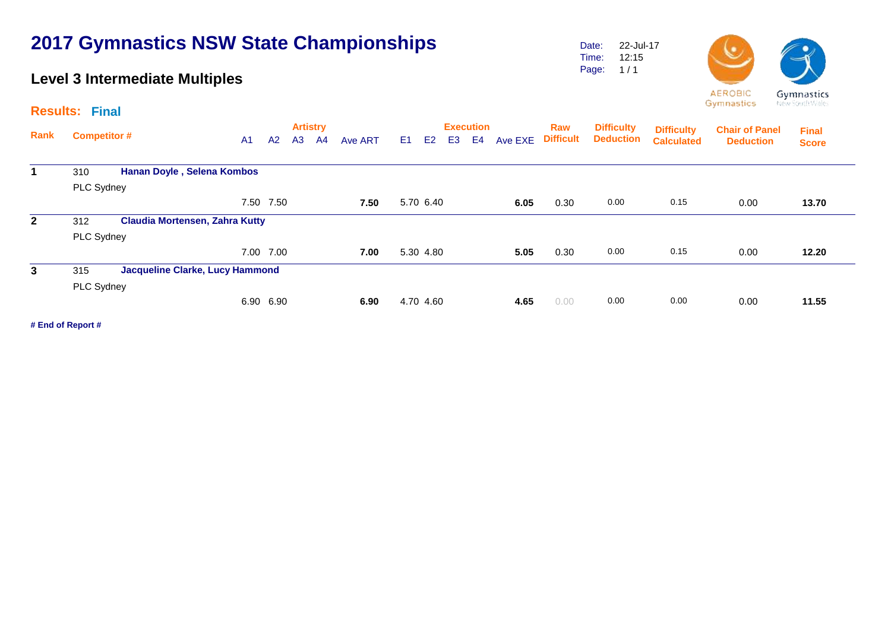### **Level 3 Intermediate Multiples**

Date: Time: Page: 1 / 1 22-Jul-17 12:15



Gymnastics New South Wales

|                | <b>Results: Final</b> |                                        |    |                |    |                       |         |                |                |    |                                    |         |                         |                                       |                                        |                                           |                              |  |
|----------------|-----------------------|----------------------------------------|----|----------------|----|-----------------------|---------|----------------|----------------|----|------------------------------------|---------|-------------------------|---------------------------------------|----------------------------------------|-------------------------------------------|------------------------------|--|
| Rank           | <b>Competitor #</b>   |                                        | A1 | A <sub>2</sub> | A3 | <b>Artistry</b><br>A4 | Ave ART | E <sub>1</sub> | E <sub>2</sub> | E3 | <b>Execution</b><br>E <sub>4</sub> | Ave EXE | Raw<br><b>Difficult</b> | <b>Difficulty</b><br><b>Deduction</b> | <b>Difficulty</b><br><b>Calculated</b> | <b>Chair of Panel</b><br><b>Deduction</b> | <b>Final</b><br><b>Score</b> |  |
| 1              | 310                   | Hanan Doyle, Selena Kombos             |    |                |    |                       |         |                |                |    |                                    |         |                         |                                       |                                        |                                           |                              |  |
|                | PLC Sydney            |                                        |    |                |    |                       |         |                |                |    |                                    |         |                         |                                       |                                        |                                           |                              |  |
|                |                       |                                        |    | 7.50 7.50      |    |                       | 7.50    |                | 5.70 6.40      |    |                                    | 6.05    | 0.30                    | 0.00                                  | 0.15                                   | 0.00                                      | 13.70                        |  |
| $\overline{2}$ | 312                   | <b>Claudia Mortensen, Zahra Kutty</b>  |    |                |    |                       |         |                |                |    |                                    |         |                         |                                       |                                        |                                           |                              |  |
|                | PLC Sydney            |                                        |    |                |    |                       |         |                |                |    |                                    |         |                         |                                       |                                        |                                           |                              |  |
|                |                       |                                        |    | 7.00 7.00      |    |                       | 7.00    |                | 5.30 4.80      |    |                                    | 5.05    | 0.30                    | 0.00                                  | 0.15                                   | 0.00                                      | 12.20                        |  |
| 3              | 315                   | <b>Jacqueline Clarke, Lucy Hammond</b> |    |                |    |                       |         |                |                |    |                                    |         |                         |                                       |                                        |                                           |                              |  |
|                | PLC Sydney            |                                        |    |                |    |                       |         |                |                |    |                                    |         |                         |                                       |                                        |                                           |                              |  |
|                |                       |                                        |    | 6.90 6.90      |    |                       | 6.90    |                | 4.70 4.60      |    |                                    | 4.65    | 0.00                    | 0.00                                  | 0.00                                   | 0.00                                      | 11.55                        |  |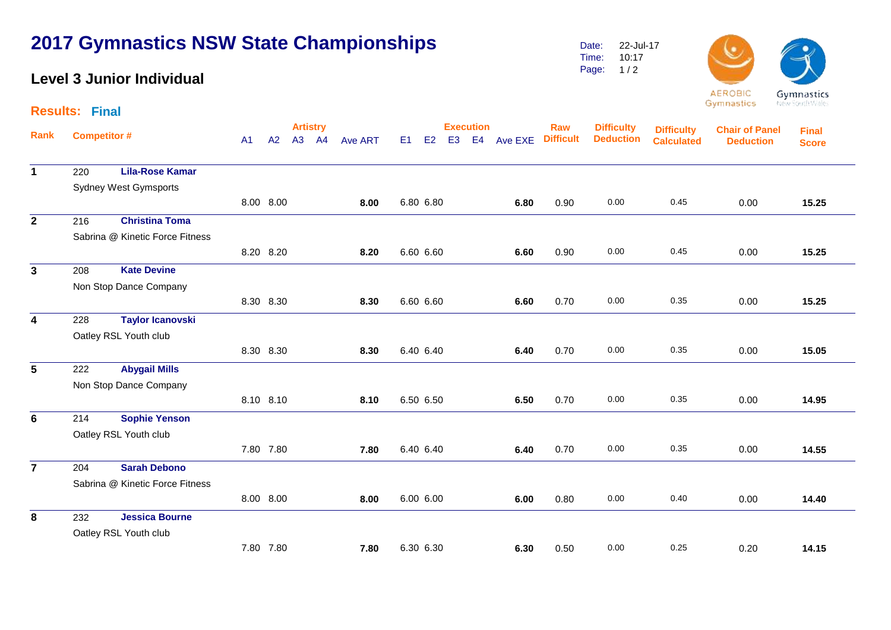#### **Level 3 Junior Individual**

**Rank**

Date: Time: Page: 22-Jul-17 10:17  $1/2$ 



|                         | <b>Results: Final</b> |                                 |                |           |    |                       |         |                |           |                |                        |         |                         |                                       |                                        | wynneesew⇒                                | and a series of the contract of the contracts of |  |
|-------------------------|-----------------------|---------------------------------|----------------|-----------|----|-----------------------|---------|----------------|-----------|----------------|------------------------|---------|-------------------------|---------------------------------------|----------------------------------------|-------------------------------------------|--------------------------------------------------|--|
| Rank                    | <b>Competitor #</b>   |                                 | A <sub>1</sub> | A2        | A3 | <b>Artistry</b><br>A4 | Ave ART | E <sub>1</sub> | E2        | E <sub>3</sub> | <b>Execution</b><br>E4 | Ave EXE | Raw<br><b>Difficult</b> | <b>Difficulty</b><br><b>Deduction</b> | <b>Difficulty</b><br><b>Calculated</b> | <b>Chair of Panel</b><br><b>Deduction</b> | <b>Final</b><br><b>Score</b>                     |  |
| $\mathbf 1$             | 220                   | <b>Lila-Rose Kamar</b>          |                |           |    |                       |         |                |           |                |                        |         |                         |                                       |                                        |                                           |                                                  |  |
|                         |                       | <b>Sydney West Gymsports</b>    |                |           |    |                       |         |                |           |                |                        |         |                         |                                       |                                        |                                           |                                                  |  |
|                         |                       |                                 |                | 8.00 8.00 |    |                       | 8.00    |                | 6.80 6.80 |                |                        | 6.80    | 0.90                    | 0.00                                  | 0.45                                   | 0.00                                      | 15.25                                            |  |
| $\overline{\mathbf{2}}$ | 216                   | <b>Christina Toma</b>           |                |           |    |                       |         |                |           |                |                        |         |                         |                                       |                                        |                                           |                                                  |  |
|                         |                       | Sabrina @ Kinetic Force Fitness |                |           |    |                       |         |                |           |                |                        |         |                         |                                       |                                        |                                           |                                                  |  |
|                         |                       |                                 |                | 8.20 8.20 |    |                       | 8.20    |                | 6.60 6.60 |                |                        | 6.60    | 0.90                    | 0.00                                  | 0.45                                   | 0.00                                      | 15.25                                            |  |
| 3                       | 208                   | <b>Kate Devine</b>              |                |           |    |                       |         |                |           |                |                        |         |                         |                                       |                                        |                                           |                                                  |  |
|                         |                       | Non Stop Dance Company          |                |           |    |                       |         |                |           |                |                        |         |                         |                                       |                                        |                                           |                                                  |  |
|                         |                       |                                 |                | 8.30 8.30 |    |                       | 8.30    |                | 6.60 6.60 |                |                        | 6.60    | 0.70                    | 0.00                                  | 0.35                                   | 0.00                                      | 15.25                                            |  |
| 4                       | 228                   | <b>Taylor Icanovski</b>         |                |           |    |                       |         |                |           |                |                        |         |                         |                                       |                                        |                                           |                                                  |  |
|                         |                       | Oatley RSL Youth club           |                |           |    |                       |         |                |           |                |                        |         |                         |                                       |                                        |                                           |                                                  |  |
|                         |                       |                                 |                | 8.30 8.30 |    |                       | 8.30    |                | 6.40 6.40 |                |                        | 6.40    | 0.70                    | 0.00                                  | 0.35                                   | 0.00                                      | 15.05                                            |  |
| 5                       | 222                   | <b>Abygail Mills</b>            |                |           |    |                       |         |                |           |                |                        |         |                         |                                       |                                        |                                           |                                                  |  |
|                         |                       | Non Stop Dance Company          |                |           |    |                       |         |                |           |                |                        |         |                         |                                       |                                        |                                           |                                                  |  |
|                         |                       |                                 |                | 8.10 8.10 |    |                       | 8.10    |                | 6.50 6.50 |                |                        | 6.50    | 0.70                    | 0.00                                  | 0.35                                   | 0.00                                      | 14.95                                            |  |
| 6                       | 214                   | <b>Sophie Yenson</b>            |                |           |    |                       |         |                |           |                |                        |         |                         |                                       |                                        |                                           |                                                  |  |
|                         |                       | Oatley RSL Youth club           |                |           |    |                       |         |                |           |                |                        |         |                         |                                       |                                        |                                           |                                                  |  |
|                         |                       |                                 |                |           |    |                       |         |                |           |                |                        |         |                         |                                       |                                        |                                           |                                                  |  |

7.80 7.80 **7.80** 6.40 6.40 **6.40** 0.70 0.00 0.35 0.00 **14.55**

**7** 204 **Sarah Debono** Sabrina @ Kinetic Force Fitness 8.00 8.00 **8.00** 6.00 6.00 **6.00** 0.80 0.00 0.40 0.00 **14.40 8** 232 **Jessica Bourne** Oatley RSL Youth club 7.80 7.80 **7.80** 6.30 6.30 **6.30** 0.50 0.00 0.25 0.20 **14.15**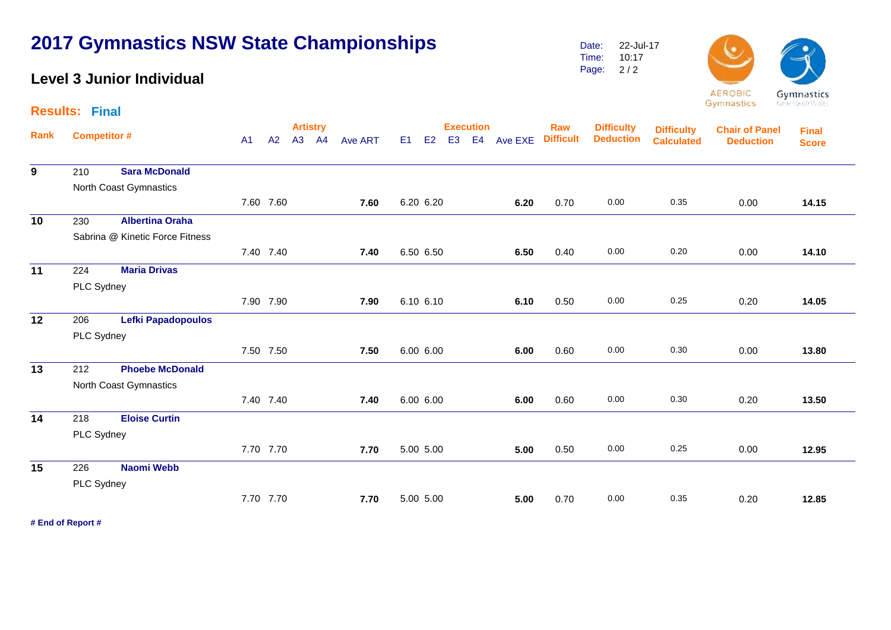#### **Level 3 Junior Individual**

**Results: Final**

Date: Time: Page: 2 / 2 22-Jul-17 10:17



Gymnastics

|      |                    |                                 |                |           | <b>Artistry</b> |    |                |           |    |                | <b>Execution</b> |         | <b>Raw</b>       | <b>Difficulty</b> | <b>Difficulty</b> | <b>Chair of Panel</b> | <b>Final</b> |
|------|--------------------|---------------------------------|----------------|-----------|-----------------|----|----------------|-----------|----|----------------|------------------|---------|------------------|-------------------|-------------------|-----------------------|--------------|
| Rank | <b>Competitor#</b> |                                 | A <sub>1</sub> | A2        | A3              | A4 | <b>Ave ART</b> | E1        | E2 | E <sub>3</sub> | E4               | Ave EXE | <b>Difficult</b> | <b>Deduction</b>  | <b>Calculated</b> | <b>Deduction</b>      | <b>Score</b> |
| 9    | 210                | <b>Sara McDonald</b>            |                |           |                 |    |                |           |    |                |                  |         |                  |                   |                   |                       |              |
|      |                    | North Coast Gymnastics          |                |           |                 |    |                |           |    |                |                  |         |                  |                   |                   |                       |              |
|      |                    |                                 |                | 7.60 7.60 |                 |    | 7.60           | 6.20 6.20 |    |                |                  | 6.20    | 0.70             | 0.00              | 0.35              | 0.00                  | 14.15        |
| 10   | 230                | <b>Albertina Oraha</b>          |                |           |                 |    |                |           |    |                |                  |         |                  |                   |                   |                       |              |
|      |                    | Sabrina @ Kinetic Force Fitness |                |           |                 |    |                |           |    |                |                  |         |                  |                   |                   |                       |              |
|      |                    |                                 |                | 7.40 7.40 |                 |    | 7.40           | 6.50 6.50 |    |                |                  | 6.50    | 0.40             | 0.00              | 0.20              | 0.00                  | 14.10        |
| 11   | 224                | <b>Maria Drivas</b>             |                |           |                 |    |                |           |    |                |                  |         |                  |                   |                   |                       |              |
|      | PLC Sydney         |                                 |                |           |                 |    |                |           |    |                |                  |         |                  |                   |                   |                       |              |
|      |                    |                                 |                | 7.90 7.90 |                 |    | 7.90           | 6.10 6.10 |    |                |                  | 6.10    | 0.50             | 0.00              | 0.25              | 0.20                  | 14.05        |
| 12   | 206                | <b>Lefki Papadopoulos</b>       |                |           |                 |    |                |           |    |                |                  |         |                  |                   |                   |                       |              |
|      | PLC Sydney         |                                 |                |           |                 |    |                |           |    |                |                  |         |                  |                   |                   |                       |              |
|      |                    |                                 |                | 7.50 7.50 |                 |    | 7.50           | 6.00 6.00 |    |                |                  | 6.00    | 0.60             | 0.00              | 0.30              | 0.00                  | 13.80        |
| 13   | 212                | <b>Phoebe McDonald</b>          |                |           |                 |    |                |           |    |                |                  |         |                  |                   |                   |                       |              |
|      |                    | North Coast Gymnastics          |                |           |                 |    |                |           |    |                |                  |         |                  |                   |                   |                       |              |
|      |                    |                                 |                | 7.40 7.40 |                 |    | 7.40           | 6.00 6.00 |    |                |                  | 6.00    | 0.60             | 0.00              | 0.30              | 0.20                  | 13.50        |
| 14   | 218                | <b>Eloise Curtin</b>            |                |           |                 |    |                |           |    |                |                  |         |                  |                   |                   |                       |              |
|      | PLC Sydney         |                                 |                |           |                 |    |                |           |    |                |                  |         |                  |                   |                   |                       |              |
|      |                    |                                 |                | 7.70 7.70 |                 |    | 7.70           | 5.00 5.00 |    |                |                  | 5.00    | 0.50             | 0.00              | 0.25              | 0.00                  | 12.95        |
| 15   | 226                | <b>Naomi Webb</b>               |                |           |                 |    |                |           |    |                |                  |         |                  |                   |                   |                       |              |
|      | PLC Sydney         |                                 |                |           |                 |    |                |           |    |                |                  |         |                  |                   |                   |                       |              |
|      |                    |                                 |                | 7.70 7.70 |                 |    | 7.70           | 5.00 5.00 |    |                |                  | 5.00    | 0.70             | 0.00              | 0.35              | 0.20                  | 12.85        |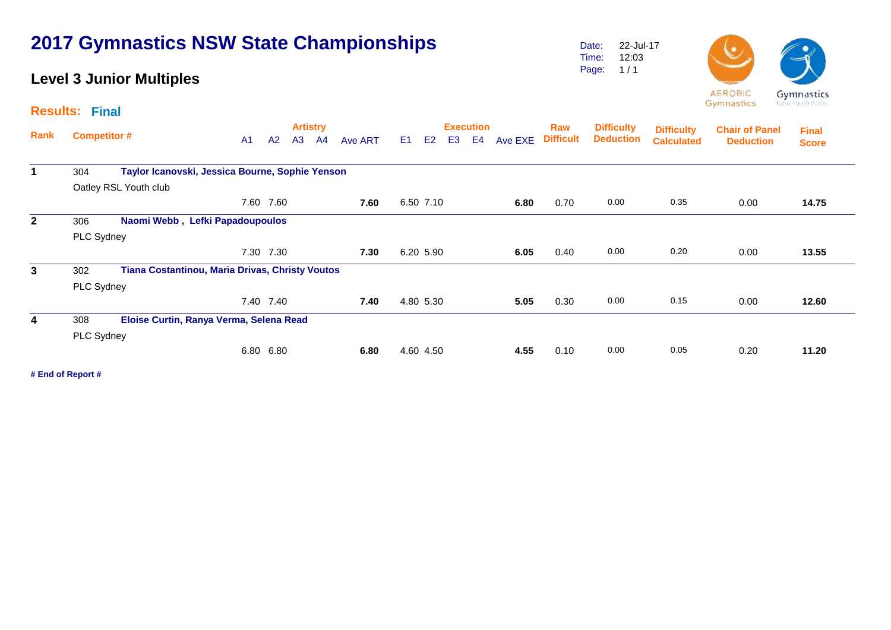#### **Level 3 Junior Multiples**

Date: Time: Page: 22-Jul-17 12:03  $1/1$ 



**Artistry Execution Rank Raw Competitor # A1 A2 A3 A4 Ave ART E1 E2 E3 E4 Ave EXE Difficult Deduction Calculated Chair of Panel Deduction Results: Final Final Score Difficulty Deduction Difficulty 1** 304 **Taylor Icanovski, Jessica Bourne, Sophie Yenson** Oatley RSL Youth club 7.60 7.60 **7.60** 6.50 7.10 **6.80** 0.70 0.00 0.35 0.00 **14.75 2** 306 **Naomi Webb , Lefki Papadoupoulos** PLC Sydney 7.30 7.30 **7.30** 6.20 5.90 **6.05** 0.40 0.00 0.20 0.00 **13.55 3** 302 **Tiana Costantinou, Maria Drivas, Christy Voutos** PLC Sydney 7.40 7.40 **7.40** 4.80 5.30 **5.05** 0.30 0.00 0.15 0.00 **12.60 4** 308 **Eloise Curtin, Ranya Verma, Selena Read** PLC Sydney 6.80 6.80 **6.80** 4.60 4.50 **4.55** 0.10 0.00 0.05 0.20 **11.20**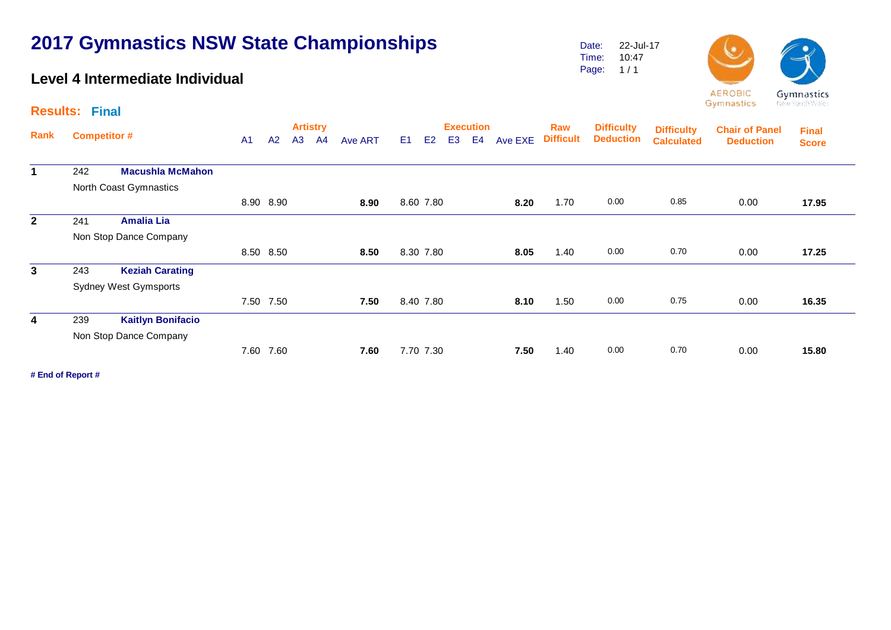#### **Level 4 Intermediate Individual**

Date: Time: Page: 22-Jul-17 10:47  $1/1$ 



Gymnastics

Gymnastics New South Wales

|                | <b>Results: Final</b> |                              |                |           |    |                 |         |                |    |                |                  |         |                  |                   |                   |                       |              |
|----------------|-----------------------|------------------------------|----------------|-----------|----|-----------------|---------|----------------|----|----------------|------------------|---------|------------------|-------------------|-------------------|-----------------------|--------------|
|                |                       |                              |                |           |    | <b>Artistry</b> |         |                |    |                | <b>Execution</b> |         | Raw              | <b>Difficulty</b> | <b>Difficulty</b> | <b>Chair of Panel</b> | <b>Final</b> |
| Rank           |                       | <b>Competitor #</b>          | A <sub>1</sub> | A2        | A3 | A4              | Ave ART | E <sub>1</sub> | E2 | E <sub>3</sub> | E4               | Ave EXE | <b>Difficult</b> | <b>Deduction</b>  | <b>Calculated</b> | <b>Deduction</b>      | <b>Score</b> |
| $\mathbf 1$    | 242                   | <b>Macushla McMahon</b>      |                |           |    |                 |         |                |    |                |                  |         |                  |                   |                   |                       |              |
|                |                       | North Coast Gymnastics       |                |           |    |                 |         |                |    |                |                  |         |                  |                   |                   |                       |              |
|                |                       |                              |                | 8.90 8.90 |    |                 | 8.90    | 8.60 7.80      |    |                |                  | 8.20    | 1.70             | 0.00              | 0.85              | 0.00                  | 17.95        |
| $\overline{2}$ | 241                   | <b>Amalia Lia</b>            |                |           |    |                 |         |                |    |                |                  |         |                  |                   |                   |                       |              |
|                |                       | Non Stop Dance Company       |                |           |    |                 |         |                |    |                |                  |         |                  |                   |                   |                       |              |
|                |                       |                              |                | 8.50 8.50 |    |                 | 8.50    | 8.30 7.80      |    |                |                  | 8.05    | 1.40             | 0.00              | 0.70              | 0.00                  | 17.25        |
| $\mathbf{3}$   | 243                   | <b>Keziah Carating</b>       |                |           |    |                 |         |                |    |                |                  |         |                  |                   |                   |                       |              |
|                |                       | <b>Sydney West Gymsports</b> |                |           |    |                 |         |                |    |                |                  |         |                  |                   |                   |                       |              |
|                |                       |                              |                | 7.50 7.50 |    |                 | 7.50    | 8.40 7.80      |    |                |                  | 8.10    | 1.50             | 0.00              | 0.75              | 0.00                  | 16.35        |
| $\overline{4}$ | 239                   | <b>Kaitlyn Bonifacio</b>     |                |           |    |                 |         |                |    |                |                  |         |                  |                   |                   |                       |              |
|                |                       | Non Stop Dance Company       |                |           |    |                 |         |                |    |                |                  |         |                  |                   |                   |                       |              |
|                |                       |                              | 7.60           | 7.60      |    |                 | 7.60    | 7.70 7.30      |    |                |                  | 7.50    | 1.40             | 0.00              | 0.70              | 0.00                  | 15.80        |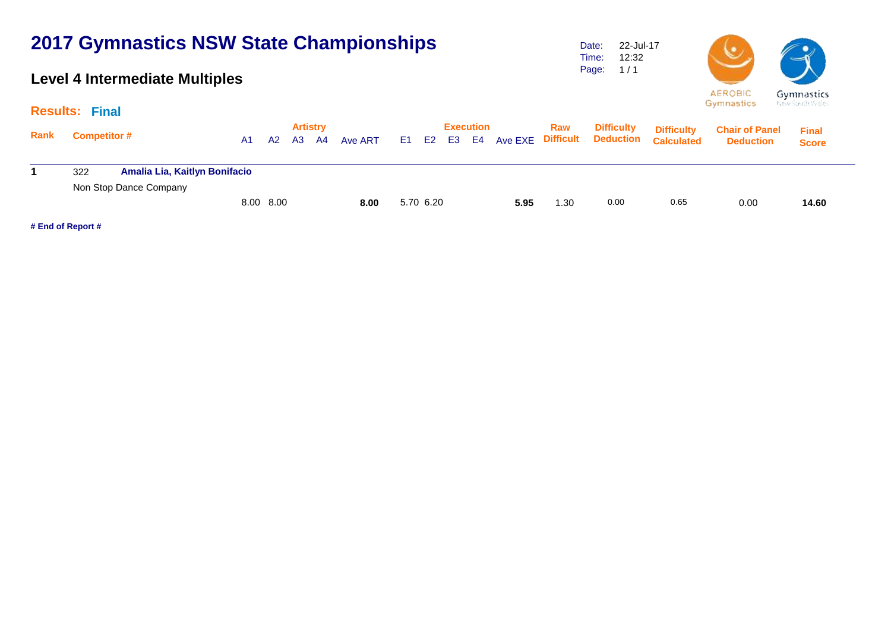### **Level 4 Intermediate Multiples**

Date: Time: Page: 1 / 1 22-Jul-17 12:32



New South Wales

|      | <b>Results: Final</b> |                                                         |    |           |                       |      |         |           |                           |                   |      |                                       |                                        | the first parties are able to             |                              |  |
|------|-----------------------|---------------------------------------------------------|----|-----------|-----------------------|------|---------|-----------|---------------------------|-------------------|------|---------------------------------------|----------------------------------------|-------------------------------------------|------------------------------|--|
| Rank | <b>Competitor #</b>   |                                                         | A1 | A2        | <b>Artistry</b><br>A3 | - A4 | Ave ART | E1 E2     | <b>Execution</b><br>E3 E4 | Ave EXE Difficult | Raw  | <b>Difficulty</b><br><b>Deduction</b> | <b>Difficulty</b><br><b>Calculated</b> | <b>Chair of Panel</b><br><b>Deduction</b> | <b>Final</b><br><b>Score</b> |  |
|      | 322                   | Amalia Lia, Kaitlyn Bonifacio<br>Non Stop Dance Company |    |           |                       |      |         |           |                           |                   |      |                                       |                                        |                                           |                              |  |
|      |                       |                                                         |    | 8.00 8.00 |                       |      | 8.00    | 5.70 6.20 |                           | 5.95              | 1.30 | 0.00                                  | 0.65                                   | 0.00                                      | 14.60                        |  |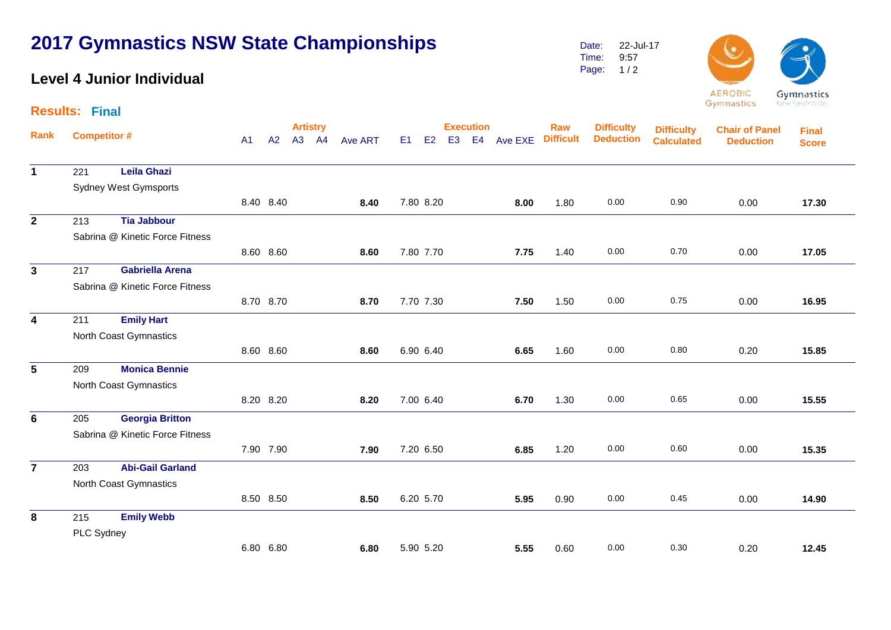#### **Level 4 Junior Individual**

**Rank**

**Results: Final**

Page: 9:57  $1/2$ 



| s: Final            |     |                 |                  |  |           |     |                                                       |                   | <b>AEROBIC</b><br>Gymnastics                         | Gymnastics<br>New South Wales |  |
|---------------------|-----|-----------------|------------------|--|-----------|-----|-------------------------------------------------------|-------------------|------------------------------------------------------|-------------------------------|--|
| <b>Competitor #</b> | A1. | <b>Artistry</b> | A2 A3 A4 Ave ART |  | Execution | Raw | Difficulty<br>E1 E2 E3 E4 Ave EXE Difficult Deduction | <b>Calculated</b> | <b>Difficulty</b> Chair of Panel<br><b>Deduction</b> | <b>Final</b><br><b>Score</b>  |  |

| $\mathbf 1$             | 221        | <b>Leila Ghazi</b>              |           |      |           |      |      |      |      |      |       |
|-------------------------|------------|---------------------------------|-----------|------|-----------|------|------|------|------|------|-------|
|                         |            | <b>Sydney West Gymsports</b>    |           |      |           |      |      |      |      |      |       |
|                         |            |                                 | 8.40 8.40 | 8.40 | 7.80 8.20 | 8.00 | 1.80 | 0.00 | 0.90 | 0.00 | 17.30 |
| $\mathbf{2}$            | 213        | <b>Tia Jabbour</b>              |           |      |           |      |      |      |      |      |       |
|                         |            | Sabrina @ Kinetic Force Fitness |           |      |           |      |      |      |      |      |       |
|                         |            |                                 | 8.60 8.60 | 8.60 | 7.80 7.70 | 7.75 | 1.40 | 0.00 | 0.70 | 0.00 | 17.05 |
| $\mathbf{3}$            | 217        | <b>Gabriella Arena</b>          |           |      |           |      |      |      |      |      |       |
|                         |            | Sabrina @ Kinetic Force Fitness |           |      |           |      |      |      |      |      |       |
|                         |            |                                 | 8.70 8.70 | 8.70 | 7.70 7.30 | 7.50 | 1.50 | 0.00 | 0.75 | 0.00 | 16.95 |
| $\overline{\mathbf{4}}$ | 211        | <b>Emily Hart</b>               |           |      |           |      |      |      |      |      |       |
|                         |            | North Coast Gymnastics          |           |      |           |      |      |      |      |      |       |
|                         |            |                                 | 8.60 8.60 | 8.60 | 6.90 6.40 | 6.65 | 1.60 | 0.00 | 0.80 | 0.20 | 15.85 |
| $5\phantom{.0}$         | 209        | <b>Monica Bennie</b>            |           |      |           |      |      |      |      |      |       |
|                         |            | North Coast Gymnastics          |           |      |           |      |      |      |      |      |       |
|                         |            |                                 | 8.20 8.20 | 8.20 | 7.00 6.40 | 6.70 | 1.30 | 0.00 | 0.65 | 0.00 | 15.55 |
| 6                       | 205        | <b>Georgia Britton</b>          |           |      |           |      |      |      |      |      |       |
|                         |            | Sabrina @ Kinetic Force Fitness |           |      |           |      |      |      |      |      |       |
|                         |            |                                 | 7.90 7.90 | 7.90 | 7.20 6.50 | 6.85 | 1.20 | 0.00 | 0.60 | 0.00 | 15.35 |
| $\overline{7}$          | 203        | <b>Abi-Gail Garland</b>         |           |      |           |      |      |      |      |      |       |
|                         |            | North Coast Gymnastics          |           |      |           |      |      |      |      |      |       |
|                         |            |                                 | 8.50 8.50 | 8.50 | 6.20 5.70 | 5.95 | 0.90 | 0.00 | 0.45 | 0.00 | 14.90 |
| 8                       | 215        | <b>Emily Webb</b>               |           |      |           |      |      |      |      |      |       |
|                         | PLC Sydney |                                 |           |      |           |      |      |      |      |      |       |
|                         |            |                                 | 6.80 6.80 | 6.80 | 5.90 5.20 | 5.55 | 0.60 | 0.00 | 0.30 | 0.20 | 12.45 |

Date: Time: 22-Jul-17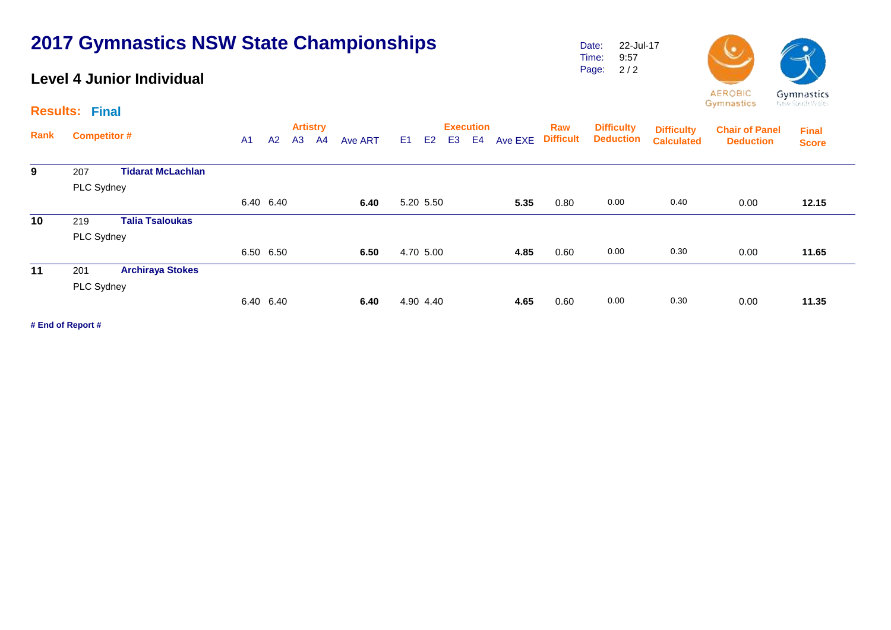#### **Level 4 Junior Individual**

Date: Time: Page: 2 / 2 22-Jul-17 9:57



|      | <b>Results: Final</b> |                          |                |           |    |                       |                |                |                |                |                                    |         |                         |                                       |                                        | the first parties are an original         |                              |  |
|------|-----------------------|--------------------------|----------------|-----------|----|-----------------------|----------------|----------------|----------------|----------------|------------------------------------|---------|-------------------------|---------------------------------------|----------------------------------------|-------------------------------------------|------------------------------|--|
| Rank | <b>Competitor#</b>    |                          | A <sub>1</sub> | A2        | A3 | <b>Artistry</b><br>A4 | <b>Ave ART</b> | E <sub>1</sub> | E <sub>2</sub> | E <sub>3</sub> | <b>Execution</b><br>E <sub>4</sub> | Ave EXE | Raw<br><b>Difficult</b> | <b>Difficulty</b><br><b>Deduction</b> | <b>Difficulty</b><br><b>Calculated</b> | <b>Chair of Panel</b><br><b>Deduction</b> | <b>Final</b><br><b>Score</b> |  |
| 9    | 207                   | <b>Tidarat McLachlan</b> |                |           |    |                       |                |                |                |                |                                    |         |                         |                                       |                                        |                                           |                              |  |
|      | PLC Sydney            |                          |                |           |    |                       |                |                |                |                |                                    |         |                         |                                       |                                        |                                           |                              |  |
|      |                       |                          |                | 6.40 6.40 |    |                       | 6.40           |                | 5.20 5.50      |                |                                    | 5.35    | 0.80                    | 0.00                                  | 0.40                                   | 0.00                                      | 12.15                        |  |
| 10   | 219                   | <b>Talia Tsaloukas</b>   |                |           |    |                       |                |                |                |                |                                    |         |                         |                                       |                                        |                                           |                              |  |
|      | PLC Sydney            |                          |                |           |    |                       |                |                |                |                |                                    |         |                         |                                       |                                        |                                           |                              |  |
|      |                       |                          |                | 6.50 6.50 |    |                       | 6.50           |                | 4.70 5.00      |                |                                    | 4.85    | 0.60                    | 0.00                                  | 0.30                                   | 0.00                                      | 11.65                        |  |
| 11   | 201                   | <b>Archiraya Stokes</b>  |                |           |    |                       |                |                |                |                |                                    |         |                         |                                       |                                        |                                           |                              |  |
|      | PLC Sydney            |                          |                |           |    |                       |                |                |                |                |                                    |         |                         |                                       |                                        |                                           |                              |  |
|      |                       |                          |                | 6.40 6.40 |    |                       | 6.40           |                | 4.90 4.40      |                |                                    | 4.65    | 0.60                    | 0.00                                  | 0.30                                   | 0.00                                      | 11.35                        |  |
|      |                       |                          |                |           |    |                       |                |                |                |                |                                    |         |                         |                                       |                                        |                                           |                              |  |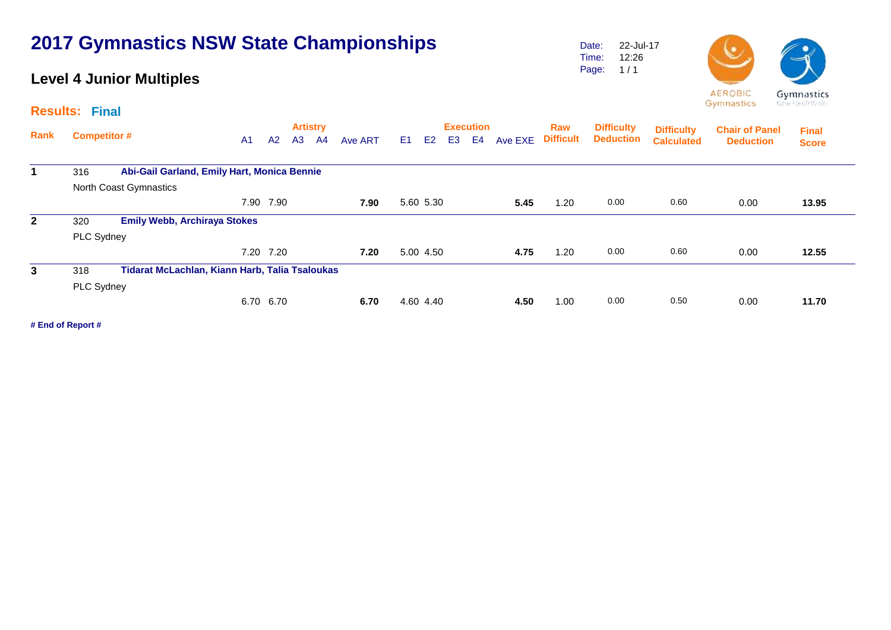### **Level 4 Junior Multiples**

Date: Time: Page: 1 / 1 22-Jul-17 12:26



Gymnastics

New South Wales

|                      | <b>Results: Final</b> |                                                |                |                |                       |    |         |                |                |    |                                    |         |                         |                                       |                                        | the first parties are an original         |                              |  |
|----------------------|-----------------------|------------------------------------------------|----------------|----------------|-----------------------|----|---------|----------------|----------------|----|------------------------------------|---------|-------------------------|---------------------------------------|----------------------------------------|-------------------------------------------|------------------------------|--|
| Rank                 | <b>Competitor #</b>   |                                                | A <sub>1</sub> | A <sub>2</sub> | <b>Artistry</b><br>A3 | A4 | Ave ART | E <sub>1</sub> | E <sub>2</sub> | E3 | <b>Execution</b><br>E <sub>4</sub> | Ave EXE | Raw<br><b>Difficult</b> | <b>Difficulty</b><br><b>Deduction</b> | <b>Difficulty</b><br><b>Calculated</b> | <b>Chair of Panel</b><br><b>Deduction</b> | <b>Final</b><br><b>Score</b> |  |
| $\blacktriangleleft$ | 316                   | Abi-Gail Garland, Emily Hart, Monica Bennie    |                |                |                       |    |         |                |                |    |                                    |         |                         |                                       |                                        |                                           |                              |  |
|                      |                       | North Coast Gymnastics                         |                |                |                       |    |         |                |                |    |                                    |         |                         |                                       |                                        |                                           |                              |  |
|                      |                       |                                                |                | 7.90 7.90      |                       |    | 7.90    |                | 5.60 5.30      |    |                                    | 5.45    | 1.20                    | 0.00                                  | 0.60                                   | 0.00                                      | 13.95                        |  |
| $\mathbf{2}$         | 320                   | <b>Emily Webb, Archiraya Stokes</b>            |                |                |                       |    |         |                |                |    |                                    |         |                         |                                       |                                        |                                           |                              |  |
|                      | PLC Sydney            |                                                |                |                |                       |    |         |                |                |    |                                    |         |                         |                                       |                                        |                                           |                              |  |
|                      |                       |                                                |                | 7.20 7.20      |                       |    | 7.20    |                | 5.00 4.50      |    |                                    | 4.75    | 1.20                    | 0.00                                  | 0.60                                   | 0.00                                      | 12.55                        |  |
| $\mathbf{3}$         | 318                   | Tidarat McLachlan, Kiann Harb, Talia Tsaloukas |                |                |                       |    |         |                |                |    |                                    |         |                         |                                       |                                        |                                           |                              |  |
|                      | PLC Sydney            |                                                |                |                |                       |    |         |                |                |    |                                    |         |                         |                                       |                                        |                                           |                              |  |
|                      |                       |                                                |                | 6.70 6.70      |                       |    | 6.70    |                | 4.60 4.40      |    |                                    | 4.50    | 1.00                    | 0.00                                  | 0.50                                   | 0.00                                      | 11.70                        |  |
|                      |                       |                                                |                |                |                       |    |         |                |                |    |                                    |         |                         |                                       |                                        |                                           |                              |  |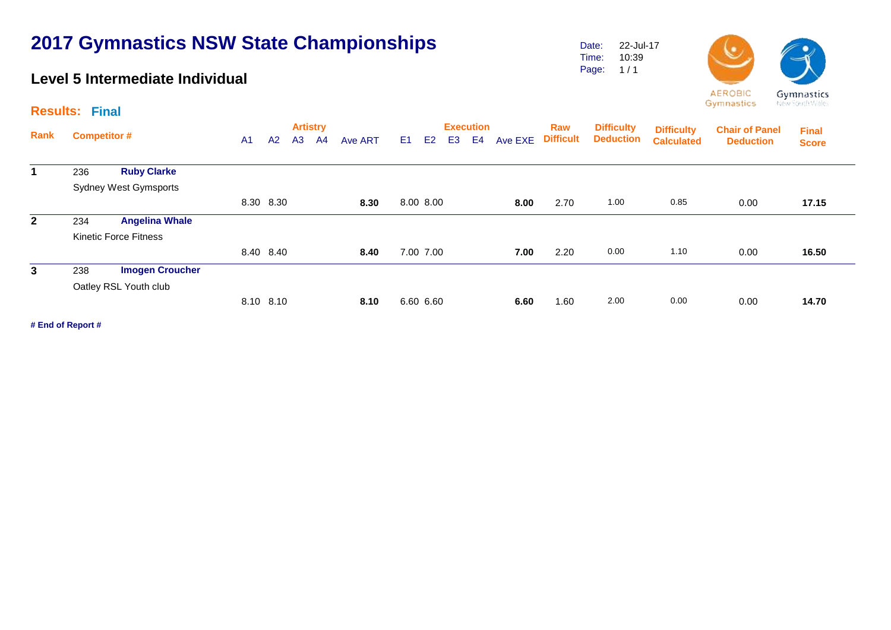#### **Level 5 Intermediate Individual**

Date: Time: Page: 22-Jul-17 10:39  $1/1$ 



Gymnastics

New South Wales

|                | <b>Results: Final</b> |                              |    |           |    |                       |         |                |                |                |                               |         |                         |                                       |                                        | the first parties are an original         |                              |  |
|----------------|-----------------------|------------------------------|----|-----------|----|-----------------------|---------|----------------|----------------|----------------|-------------------------------|---------|-------------------------|---------------------------------------|----------------------------------------|-------------------------------------------|------------------------------|--|
| <b>Rank</b>    | <b>Competitor #</b>   |                              | A1 | A2        | A3 | <b>Artistry</b><br>A4 | Ave ART | E <sub>1</sub> | E <sub>2</sub> | E <sub>3</sub> | <b>Execution</b><br><b>E4</b> | Ave EXE | Raw<br><b>Difficult</b> | <b>Difficulty</b><br><b>Deduction</b> | <b>Difficulty</b><br><b>Calculated</b> | <b>Chair of Panel</b><br><b>Deduction</b> | <b>Final</b><br><b>Score</b> |  |
| 1              | 236                   | <b>Ruby Clarke</b>           |    |           |    |                       |         |                |                |                |                               |         |                         |                                       |                                        |                                           |                              |  |
|                |                       | <b>Sydney West Gymsports</b> |    |           |    |                       |         |                |                |                |                               |         |                         |                                       |                                        |                                           |                              |  |
|                |                       |                              |    | 8.30 8.30 |    |                       | 8.30    |                | 8.00 8.00      |                |                               | 8.00    | 2.70                    | 1.00                                  | 0.85                                   | 0.00                                      | 17.15                        |  |
| $\overline{2}$ | 234                   | <b>Angelina Whale</b>        |    |           |    |                       |         |                |                |                |                               |         |                         |                                       |                                        |                                           |                              |  |
|                |                       | <b>Kinetic Force Fitness</b> |    |           |    |                       |         |                |                |                |                               |         |                         |                                       |                                        |                                           |                              |  |
|                |                       |                              |    | 8.40 8.40 |    |                       | 8.40    |                | 7.00 7.00      |                |                               | 7.00    | 2.20                    | 0.00                                  | 1.10                                   | 0.00                                      | 16.50                        |  |
| $\mathbf{3}$   | 238                   | <b>Imogen Croucher</b>       |    |           |    |                       |         |                |                |                |                               |         |                         |                                       |                                        |                                           |                              |  |
|                |                       | Oatley RSL Youth club        |    |           |    |                       |         |                |                |                |                               |         |                         |                                       |                                        |                                           |                              |  |
|                |                       |                              |    | 8.10 8.10 |    |                       | 8.10    |                | 6.60 6.60      |                |                               | 6.60    | 1.60                    | 2.00                                  | 0.00                                   | 0.00                                      | 14.70                        |  |
|                |                       |                              |    |           |    |                       |         |                |                |                |                               |         |                         |                                       |                                        |                                           |                              |  |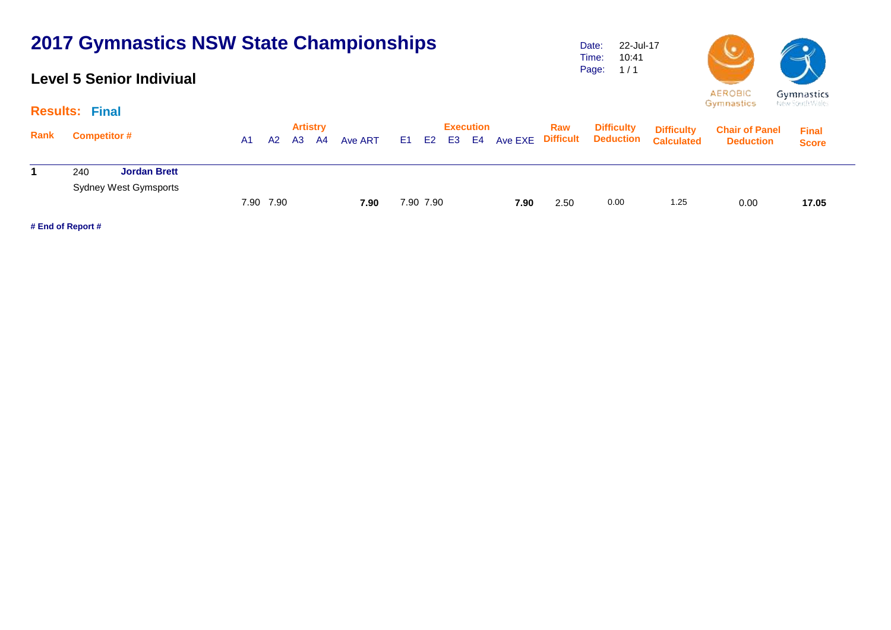#### **Level 5 Senior Indiviual**

Date: Time: Page: 22-Jul-17 10:41  $1/1$ 



|      | <b>Results: Final</b>                                      |                |           |                          |         |           |                                 |      |      |                                                  |                                        | the first parties are all the con-        |                              |
|------|------------------------------------------------------------|----------------|-----------|--------------------------|---------|-----------|---------------------------------|------|------|--------------------------------------------------|----------------------------------------|-------------------------------------------|------------------------------|
| Rank | <b>Competitor #</b>                                        | A <sub>1</sub> | A2        | <b>Artistry</b><br>A3 A4 | Ave ART |           | <b>Execution</b><br>E1 E2 E3 E4 |      | Raw  | <b>Difficulty</b><br>Ave EXE Difficult Deduction | <b>Difficulty</b><br><b>Calculated</b> | <b>Chair of Panel</b><br><b>Deduction</b> | <b>Final</b><br><b>Score</b> |
|      | 240<br><b>Jordan Brett</b><br><b>Sydney West Gymsports</b> |                |           |                          |         |           |                                 |      |      |                                                  |                                        |                                           |                              |
|      |                                                            |                | 7.90 7.90 |                          | 7.90    | 7.90 7.90 |                                 | 7.90 | 2.50 | 0.00                                             | 1.25                                   | 0.00                                      | 17.05                        |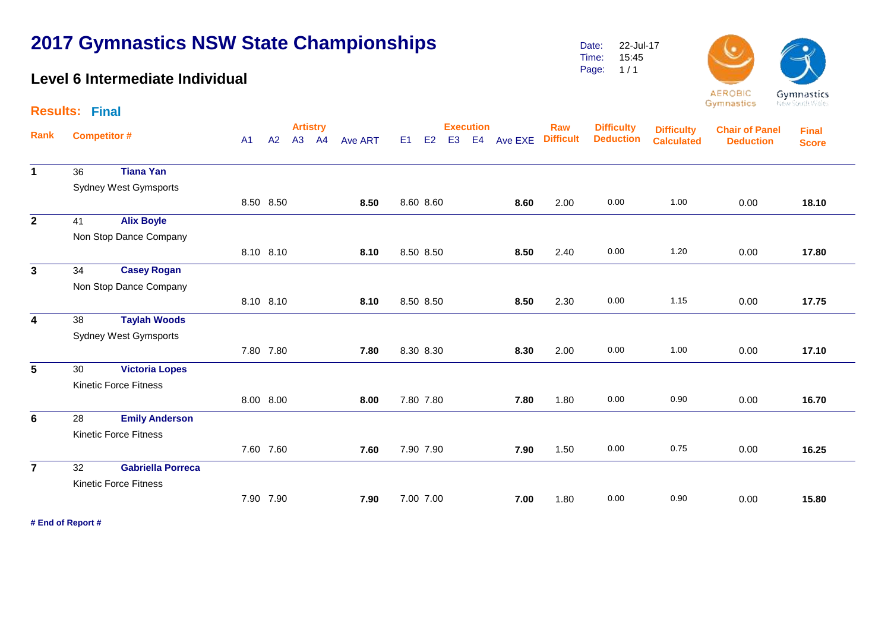#### **Level 6 Intermediate Individual**

Date: Time: Page: 22-Jul-17 15:45  $1/1$ 



Gymnastics

Gymnastics New South Wales

|                         | <b>Results: Final</b> |                              |                |           |                 |                |                |                |                |                  |         |                  |                   |                   |                       |              |  |
|-------------------------|-----------------------|------------------------------|----------------|-----------|-----------------|----------------|----------------|----------------|----------------|------------------|---------|------------------|-------------------|-------------------|-----------------------|--------------|--|
|                         |                       |                              |                |           | <b>Artistry</b> |                |                |                |                | <b>Execution</b> |         | Raw              | <b>Difficulty</b> | <b>Difficulty</b> | <b>Chair of Panel</b> | <b>Final</b> |  |
| Rank                    |                       | <b>Competitor#</b>           | A <sub>1</sub> | A2        | A3 A4           | <b>Ave ART</b> | E <sub>1</sub> | E <sub>2</sub> | E <sub>3</sub> | <b>E4</b>        | Ave EXE | <b>Difficult</b> | <b>Deduction</b>  | <b>Calculated</b> | <b>Deduction</b>      | <b>Score</b> |  |
| $\mathbf 1$             | 36                    | <b>Tiana Yan</b>             |                |           |                 |                |                |                |                |                  |         |                  |                   |                   |                       |              |  |
|                         |                       | <b>Sydney West Gymsports</b> |                |           |                 |                |                |                |                |                  |         |                  |                   |                   |                       |              |  |
|                         |                       |                              |                | 8.50 8.50 |                 | 8.50           |                | 8.60 8.60      |                |                  | 8.60    | 2.00             | 0.00              | 1.00              | 0.00                  | 18.10        |  |
| $\mathbf{2}$            | 41                    | <b>Alix Boyle</b>            |                |           |                 |                |                |                |                |                  |         |                  |                   |                   |                       |              |  |
|                         |                       | Non Stop Dance Company       |                |           |                 |                |                |                |                |                  |         |                  |                   |                   |                       |              |  |
|                         |                       |                              |                | 8.10 8.10 |                 | 8.10           |                | 8.50 8.50      |                |                  | 8.50    | 2.40             | 0.00              | 1.20              | 0.00                  | 17.80        |  |
| $\mathbf{3}$            | 34                    | <b>Casey Rogan</b>           |                |           |                 |                |                |                |                |                  |         |                  |                   |                   |                       |              |  |
|                         |                       | Non Stop Dance Company       |                |           |                 |                |                |                |                |                  |         |                  |                   |                   |                       |              |  |
|                         |                       |                              |                | 8.10 8.10 |                 | 8.10           |                | 8.50 8.50      |                |                  | 8.50    | 2.30             | 0.00              | 1.15              | 0.00                  | 17.75        |  |
| $\overline{\mathbf{4}}$ | 38                    | <b>Taylah Woods</b>          |                |           |                 |                |                |                |                |                  |         |                  |                   |                   |                       |              |  |
|                         |                       | <b>Sydney West Gymsports</b> |                |           |                 |                |                |                |                |                  |         |                  |                   |                   |                       |              |  |
|                         |                       |                              |                | 7.80 7.80 |                 | 7.80           |                | 8.30 8.30      |                |                  | 8.30    | 2.00             | 0.00              | 1.00              | 0.00                  | 17.10        |  |
| $5\phantom{.0}$         | 30                    | <b>Victoria Lopes</b>        |                |           |                 |                |                |                |                |                  |         |                  |                   |                   |                       |              |  |
|                         |                       | <b>Kinetic Force Fitness</b> |                |           |                 |                |                |                |                |                  |         |                  |                   |                   |                       |              |  |
|                         |                       |                              |                | 8.00 8.00 |                 | 8.00           |                | 7.80 7.80      |                |                  | 7.80    | 1.80             | 0.00              | 0.90              | 0.00                  | 16.70        |  |
| 6                       | 28                    | <b>Emily Anderson</b>        |                |           |                 |                |                |                |                |                  |         |                  |                   |                   |                       |              |  |
|                         |                       | <b>Kinetic Force Fitness</b> |                |           |                 |                |                |                |                |                  |         |                  |                   |                   |                       |              |  |
|                         |                       |                              |                | 7.60 7.60 |                 | 7.60           |                | 7.90 7.90      |                |                  | 7.90    | 1.50             | 0.00              | 0.75              | 0.00                  | 16.25        |  |
| $\overline{7}$          | 32                    | <b>Gabriella Porreca</b>     |                |           |                 |                |                |                |                |                  |         |                  |                   |                   |                       |              |  |
|                         |                       | <b>Kinetic Force Fitness</b> |                |           |                 |                |                |                |                |                  |         |                  |                   |                   |                       |              |  |
|                         |                       |                              |                | 7.90 7.90 |                 | 7.90           |                | 7.00 7.00      |                |                  | 7.00    | 1.80             | 0.00              | 0.90              | 0.00                  | 15.80        |  |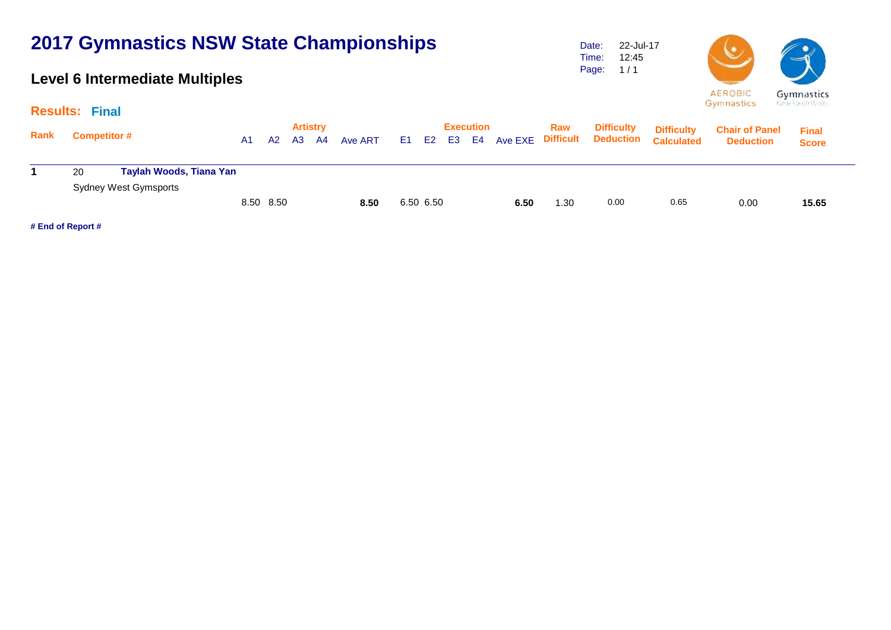### **Level 6 Intermediate Multiples**

Date: Time: Page: 1 / 1 22-Jul-17 12:45



Gymnastics New South Wales

|      | <b>Results: Final</b> |                                                         | <b>Artistry</b><br><b>Execution</b><br>Raw<br><b>Difficult</b><br>Ave EXE<br>E1 =<br>E3<br><b>E4</b><br>E <sub>2</sub><br>A3<br>A2<br>Ave ART<br>A4<br>A1 |  |           |  |  |      |  |           |  |  |      |      |                                       |                                        | the product state and and                 |                              |  |
|------|-----------------------|---------------------------------------------------------|-----------------------------------------------------------------------------------------------------------------------------------------------------------|--|-----------|--|--|------|--|-----------|--|--|------|------|---------------------------------------|----------------------------------------|-------------------------------------------|------------------------------|--|
| Rank | <b>Competitor #</b>   |                                                         |                                                                                                                                                           |  |           |  |  |      |  |           |  |  |      |      | <b>Difficulty</b><br><b>Deduction</b> | <b>Difficulty</b><br><b>Calculated</b> | <b>Chair of Panel</b><br><b>Deduction</b> | <b>Final</b><br><b>Score</b> |  |
|      | 20                    | Taylah Woods, Tiana Yan<br><b>Sydney West Gymsports</b> |                                                                                                                                                           |  |           |  |  |      |  |           |  |  |      |      |                                       |                                        |                                           |                              |  |
|      |                       |                                                         |                                                                                                                                                           |  | 8.50 8.50 |  |  | 8.50 |  | 6.50 6.50 |  |  | 6.50 | 1.30 | 0.00                                  | 0.65                                   | 0.00                                      | 15.65                        |  |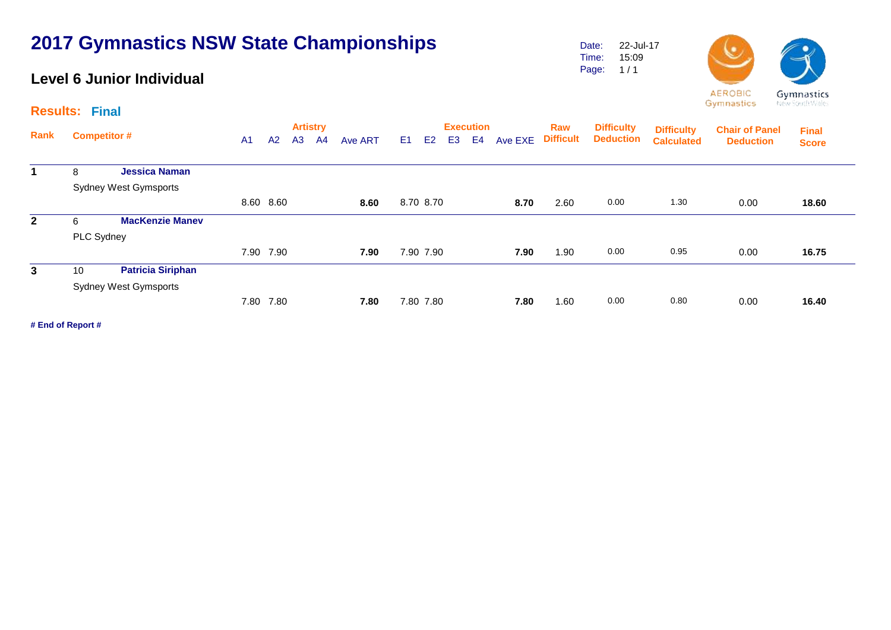#### **Level 6 Junior Individual**

Date: Time: Page: 22-Jul-17 15:09  $1/1$ 



Gymnastics

Gymnastics New South Wales

|                | <b>Results: Final</b> |                              |                |           |                |                       |         |    |           |                |                                    |         |                         |                                       |                                        | the first parties are able to             |                              |  |
|----------------|-----------------------|------------------------------|----------------|-----------|----------------|-----------------------|---------|----|-----------|----------------|------------------------------------|---------|-------------------------|---------------------------------------|----------------------------------------|-------------------------------------------|------------------------------|--|
| Rank           |                       | <b>Competitor #</b>          | A <sub>1</sub> | A2        | A <sub>3</sub> | <b>Artistry</b><br>A4 | Ave ART | E1 | E2        | E <sub>3</sub> | <b>Execution</b><br>E <sub>4</sub> | Ave EXE | Raw<br><b>Difficult</b> | <b>Difficulty</b><br><b>Deduction</b> | <b>Difficulty</b><br><b>Calculated</b> | <b>Chair of Panel</b><br><b>Deduction</b> | <b>Final</b><br><b>Score</b> |  |
| 1              | 8                     | <b>Jessica Naman</b>         |                |           |                |                       |         |    |           |                |                                    |         |                         |                                       |                                        |                                           |                              |  |
|                |                       | <b>Sydney West Gymsports</b> |                |           |                |                       |         |    |           |                |                                    |         |                         |                                       |                                        |                                           |                              |  |
|                |                       |                              |                | 8.60 8.60 |                |                       | 8.60    |    | 8.70 8.70 |                |                                    | 8.70    | 2.60                    | 0.00                                  | 1.30                                   | 0.00                                      | 18.60                        |  |
| $\overline{2}$ | 6                     | <b>MacKenzie Manev</b>       |                |           |                |                       |         |    |           |                |                                    |         |                         |                                       |                                        |                                           |                              |  |
|                | PLC Sydney            |                              |                |           |                |                       |         |    |           |                |                                    |         |                         |                                       |                                        |                                           |                              |  |
|                |                       |                              |                | 7.90 7.90 |                |                       | 7.90    |    | 7.90 7.90 |                |                                    | 7.90    | 1.90                    | 0.00                                  | 0.95                                   | 0.00                                      | 16.75                        |  |
| $\mathbf{3}$   | 10                    | <b>Patricia Siriphan</b>     |                |           |                |                       |         |    |           |                |                                    |         |                         |                                       |                                        |                                           |                              |  |
|                |                       | <b>Sydney West Gymsports</b> |                |           |                |                       |         |    |           |                |                                    |         |                         |                                       |                                        |                                           |                              |  |
|                |                       |                              |                | 7.80 7.80 |                |                       | 7.80    |    | 7.80 7.80 |                |                                    | 7.80    | 1.60                    | 0.00                                  | 0.80                                   | 0.00                                      | 16.40                        |  |
|                |                       |                              |                |           |                |                       |         |    |           |                |                                    |         |                         |                                       |                                        |                                           |                              |  |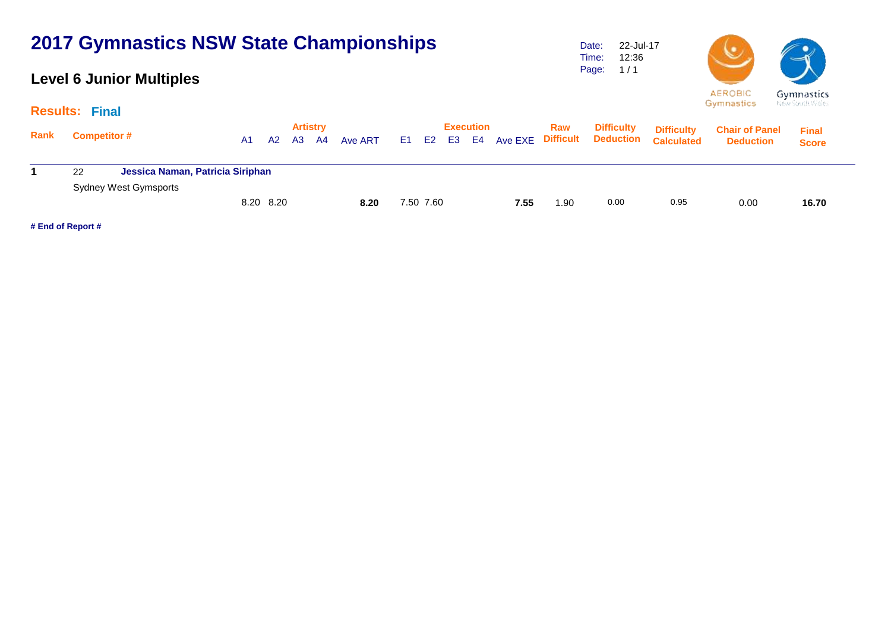### **Level 6 Junior Multiples**

Date: Time: Page: 1 / 1 22-Jul-17 12:36



|                    |                   |                   | AEROBIC<br>Gymnastics | <b>Gymnastics</b><br>New South Wales |
|--------------------|-------------------|-------------------|-----------------------|--------------------------------------|
| Raw<br>- - - - - - | <b>Difficulty</b> | <b>Difficulty</b> | <b>Chair of Panel</b> | <b>Final</b>                         |

|      | <b>Results: Final</b>                                           |    |           |    |                       |         |           |             |                  |         |                         |                                       |                                        | the first parties are able to             |                              |  |
|------|-----------------------------------------------------------------|----|-----------|----|-----------------------|---------|-----------|-------------|------------------|---------|-------------------------|---------------------------------------|----------------------------------------|-------------------------------------------|------------------------------|--|
| Rank | <b>Competitor #</b>                                             | A1 | A2        | A3 | <b>Artistry</b><br>A4 | Ave ART |           | E1 E2 E3 E4 | <b>Execution</b> | Ave EXE | Raw<br><b>Difficult</b> | <b>Difficulty</b><br><b>Deduction</b> | <b>Difficulty</b><br><b>Calculated</b> | <b>Chair of Panel</b><br><b>Deduction</b> | <b>Final</b><br><b>Score</b> |  |
|      | Jessica Naman, Patricia Siriphan<br>22<br>Sydney West Gymsports |    |           |    |                       |         |           |             |                  |         |                         |                                       |                                        |                                           |                              |  |
|      |                                                                 |    | 8.20 8.20 |    |                       | 8.20    | 7.50 7.60 |             |                  | 7.55    | 1.90                    | 0.00                                  | 0.95                                   | 0.00                                      | 16.70                        |  |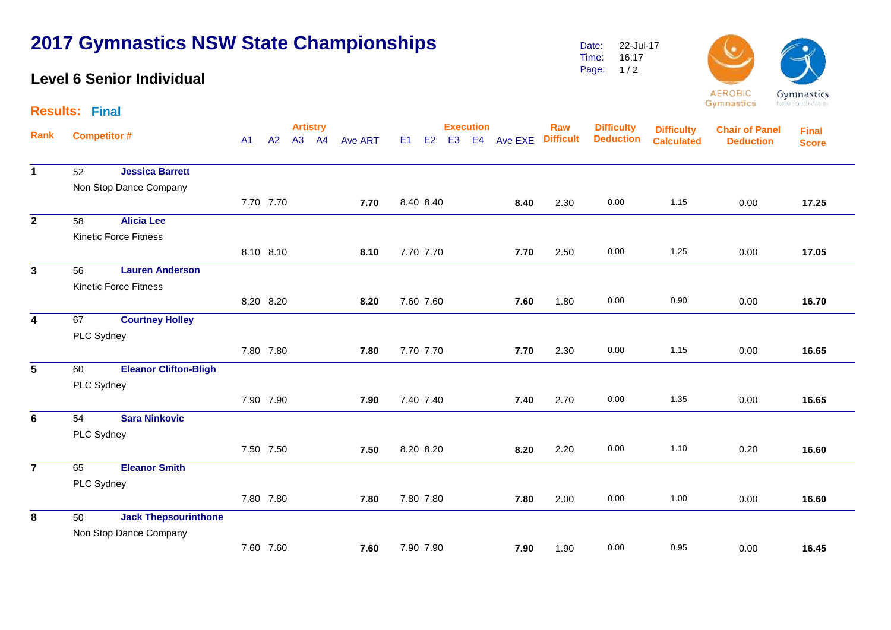### **Level 6 Senior Individual**

Date: Time: Page: 22-Jul-17 16:17  $1/2$ 



|                         | <b>Results: Final</b> |                              |                |           |                          |                |                |           |                |                        |         |                         |                                       |                                        | wymnasucs                                 | i incorputativ rada          |
|-------------------------|-----------------------|------------------------------|----------------|-----------|--------------------------|----------------|----------------|-----------|----------------|------------------------|---------|-------------------------|---------------------------------------|----------------------------------------|-------------------------------------------|------------------------------|
| <b>Rank</b>             | <b>Competitor#</b>    |                              | A <sub>1</sub> | A2        | <b>Artistry</b><br>A3 A4 | <b>Ave ART</b> | E <sub>1</sub> | E2        | E <sub>3</sub> | <b>Execution</b><br>E4 | Ave EXE | Raw<br><b>Difficult</b> | <b>Difficulty</b><br><b>Deduction</b> | <b>Difficulty</b><br><b>Calculated</b> | <b>Chair of Panel</b><br><b>Deduction</b> | <b>Final</b><br><b>Score</b> |
| $\mathbf 1$             | 52                    | <b>Jessica Barrett</b>       |                |           |                          |                |                |           |                |                        |         |                         |                                       |                                        |                                           |                              |
|                         |                       | Non Stop Dance Company       |                |           |                          |                |                |           |                |                        |         |                         |                                       |                                        |                                           |                              |
|                         |                       |                              |                | 7.70 7.70 |                          | 7.70           |                | 8.40 8.40 |                |                        | 8.40    | 2.30                    | 0.00                                  | 1.15                                   | 0.00                                      | 17.25                        |
| $\overline{2}$          | 58                    | <b>Alicia Lee</b>            |                |           |                          |                |                |           |                |                        |         |                         |                                       |                                        |                                           |                              |
|                         |                       | <b>Kinetic Force Fitness</b> |                |           |                          |                |                |           |                |                        |         |                         |                                       |                                        |                                           |                              |
|                         |                       |                              |                | 8.10 8.10 |                          | 8.10           |                | 7.70 7.70 |                |                        | 7.70    | 2.50                    | 0.00                                  | 1.25                                   | 0.00                                      | 17.05                        |
| $\mathbf{3}$            | 56                    | <b>Lauren Anderson</b>       |                |           |                          |                |                |           |                |                        |         |                         |                                       |                                        |                                           |                              |
|                         |                       | <b>Kinetic Force Fitness</b> |                |           |                          |                |                |           |                |                        |         |                         |                                       |                                        |                                           |                              |
|                         |                       |                              |                | 8.20 8.20 |                          | 8.20           |                | 7.60 7.60 |                |                        | 7.60    | 1.80                    | 0.00                                  | 0.90                                   | 0.00                                      | 16.70                        |
| $\overline{\mathbf{4}}$ | 67                    | <b>Courtney Holley</b>       |                |           |                          |                |                |           |                |                        |         |                         |                                       |                                        |                                           |                              |
|                         | PLC Sydney            |                              |                |           |                          |                |                |           |                |                        |         |                         |                                       |                                        |                                           |                              |
|                         |                       |                              |                | 7.80 7.80 |                          | 7.80           |                | 7.70 7.70 |                |                        | 7.70    | 2.30                    | 0.00                                  | 1.15                                   | 0.00                                      | 16.65                        |
| $5\phantom{.0}$         | 60                    | <b>Eleanor Clifton-Bligh</b> |                |           |                          |                |                |           |                |                        |         |                         |                                       |                                        |                                           |                              |
|                         | PLC Sydney            |                              |                |           |                          |                |                |           |                |                        |         |                         |                                       |                                        |                                           |                              |
|                         |                       |                              |                | 7.90 7.90 |                          | 7.90           |                | 7.40 7.40 |                |                        | 7.40    | 2.70                    | 0.00                                  | 1.35                                   | 0.00                                      | 16.65                        |
| $\bf 6$                 | 54                    | <b>Sara Ninkovic</b>         |                |           |                          |                |                |           |                |                        |         |                         |                                       |                                        |                                           |                              |
|                         | PLC Sydney            |                              |                |           |                          |                |                |           |                |                        |         |                         |                                       |                                        |                                           |                              |
|                         |                       |                              |                | 7.50 7.50 |                          | 7.50           |                | 8.20 8.20 |                |                        | 8.20    | 2.20                    | 0.00                                  | 1.10                                   | 0.20                                      | 16.60                        |
| $\overline{7}$          | 65                    | <b>Eleanor Smith</b>         |                |           |                          |                |                |           |                |                        |         |                         |                                       |                                        |                                           |                              |
|                         | PLC Sydney            |                              |                |           |                          |                |                |           |                |                        |         |                         |                                       |                                        |                                           |                              |
|                         |                       |                              |                | 7.80 7.80 |                          | 7.80           |                | 7.80 7.80 |                |                        | 7.80    | 2.00                    | 0.00                                  | 1.00                                   | 0.00                                      | 16.60                        |
| 8                       | 50                    | <b>Jack Thepsourinthone</b>  |                |           |                          |                |                |           |                |                        |         |                         |                                       |                                        |                                           |                              |
|                         |                       | Non Stop Dance Company       |                |           |                          |                |                |           |                |                        |         |                         |                                       |                                        |                                           |                              |
|                         |                       |                              |                | 7.60 7.60 |                          | 7.60           |                | 7.90 7.90 |                |                        | 7.90    | 1.90                    | 0.00                                  | 0.95                                   | 0.00                                      | 16.45                        |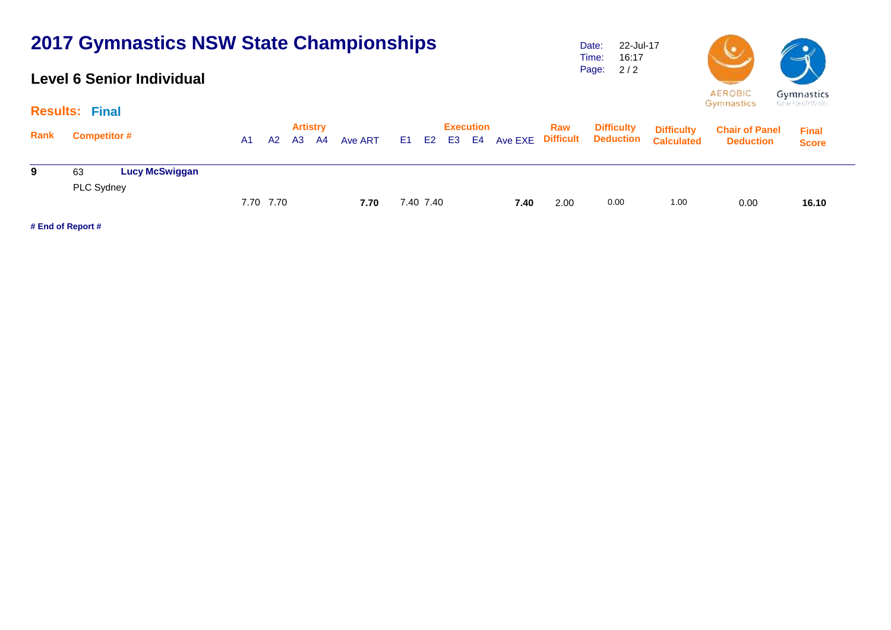#### **Level 6 Senior Individual**

Date: Time: Page: 2 / 2 22-Jul-17 16:17



New South Wales

|      | <b>Results: Final</b>       |    |           |  |                          |         | the product state and state of |                  |               |      |                   |                                                     |                                           |                              |  |
|------|-----------------------------|----|-----------|--|--------------------------|---------|--------------------------------|------------------|---------------|------|-------------------|-----------------------------------------------------|-------------------------------------------|------------------------------|--|
| Rank | <b>Competitor #</b>         | A1 | A2        |  | <b>Artistry</b><br>A3 A4 | Ave ART | E1 E2                          | <b>Execution</b> | E3 E4 Ave EXE | Raw  | <b>Difficulty</b> | <b>Difficulty</b><br>Difficult Deduction Calculated | <b>Chair of Panel</b><br><b>Deduction</b> | <b>Final</b><br><b>Score</b> |  |
| 9    | <b>Lucy McSwiggan</b><br>63 |    |           |  |                          |         |                                |                  |               |      |                   |                                                     |                                           |                              |  |
|      | PLC Sydney                  |    |           |  |                          |         |                                |                  |               |      |                   |                                                     |                                           |                              |  |
|      |                             |    | 7.70 7.70 |  |                          | 7.70    | 7.40 7.40                      |                  | 7.40          | 2.00 | 0.00              | 1.00                                                | 0.00                                      | 16.10                        |  |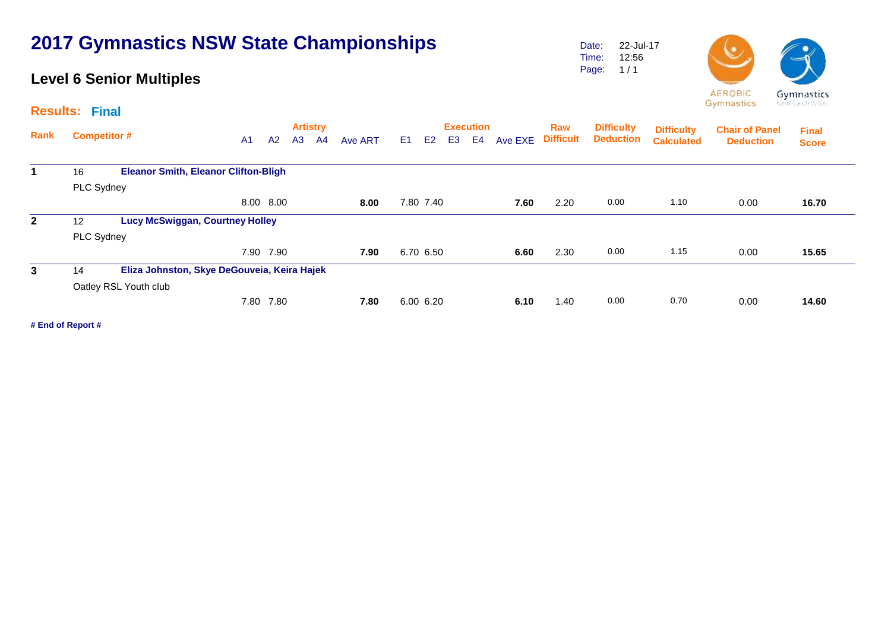### **Level 6 Senior Multiples**

Date: Time: Page: 1 / 1 22-Jul-17 12:56



Gymnastics

| Gymnastics      |  |
|-----------------|--|
| New South Wales |  |

|              | <b>Results: Final</b> |                                             |                |                |                |                       |         |                |                |                |                        |         |                         |                                       |                                        |                                           |                              |  |
|--------------|-----------------------|---------------------------------------------|----------------|----------------|----------------|-----------------------|---------|----------------|----------------|----------------|------------------------|---------|-------------------------|---------------------------------------|----------------------------------------|-------------------------------------------|------------------------------|--|
| Rank         | <b>Competitor #</b>   |                                             | A <sub>1</sub> | A <sub>2</sub> | A <sub>3</sub> | <b>Artistry</b><br>A4 | Ave ART | E <sub>1</sub> | E <sub>2</sub> | E <sub>3</sub> | <b>Execution</b><br>E4 | Ave EXE | Raw<br><b>Difficult</b> | <b>Difficulty</b><br><b>Deduction</b> | <b>Difficulty</b><br><b>Calculated</b> | <b>Chair of Panel</b><br><b>Deduction</b> | <b>Final</b><br><b>Score</b> |  |
| 1            | 16                    | <b>Eleanor Smith, Eleanor Clifton-Bligh</b> |                |                |                |                       |         |                |                |                |                        |         |                         |                                       |                                        |                                           |                              |  |
|              | PLC Sydney            |                                             |                |                |                |                       |         |                |                |                |                        |         |                         |                                       |                                        |                                           |                              |  |
|              |                       |                                             |                | 8.00 8.00      |                |                       | 8.00    |                | 7.80 7.40      |                |                        | 7.60    | 2.20                    | 0.00                                  | 1.10                                   | 0.00                                      | 16.70                        |  |
| $\mathbf{2}$ | 12                    | <b>Lucy McSwiggan, Courtney Holley</b>      |                |                |                |                       |         |                |                |                |                        |         |                         |                                       |                                        |                                           |                              |  |
|              | PLC Sydney            |                                             |                |                |                |                       |         |                |                |                |                        |         |                         |                                       |                                        |                                           |                              |  |
|              |                       |                                             |                | 7.90 7.90      |                |                       | 7.90    |                | 6.70 6.50      |                |                        | 6.60    | 2.30                    | 0.00                                  | 1.15                                   | 0.00                                      | 15.65                        |  |
| 3            | 14                    | Eliza Johnston, Skye DeGouveia, Keira Hajek |                |                |                |                       |         |                |                |                |                        |         |                         |                                       |                                        |                                           |                              |  |
|              |                       | Oatley RSL Youth club                       |                |                |                |                       |         |                |                |                |                        |         |                         |                                       |                                        |                                           |                              |  |
|              |                       |                                             |                | 7.80 7.80      |                |                       | 7.80    |                | 6.00 6.20      |                |                        | 6.10    | 1.40                    | 0.00                                  | 0.70                                   | 0.00                                      | 14.60                        |  |
|              |                       |                                             |                |                |                |                       |         |                |                |                |                        |         |                         |                                       |                                        |                                           |                              |  |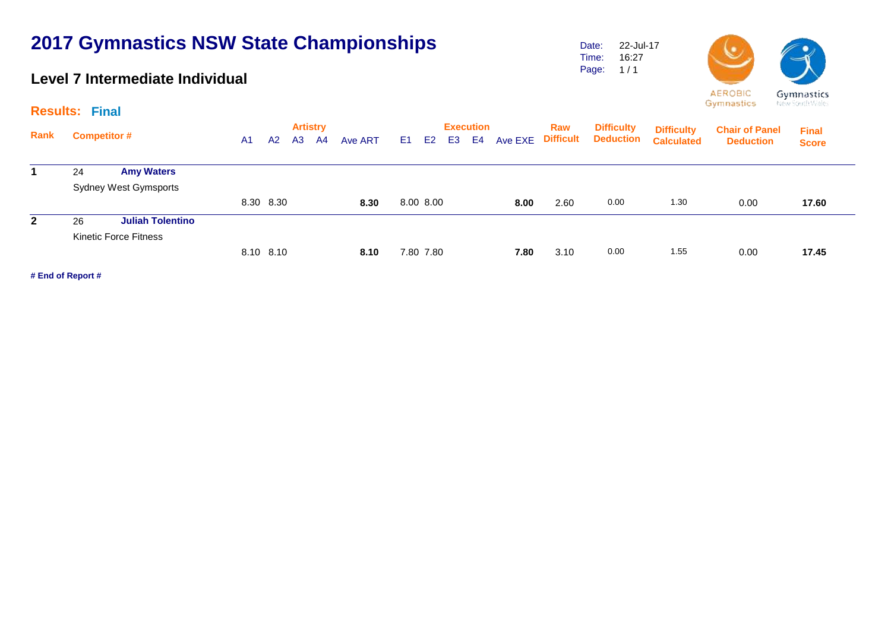#### **Level 7 Intermediate Individual**

Date: Time: Page: 22-Jul-17 16:27  $1/1$ 





|              | <b>Results: Final</b> |                              |                |                |    |                       |         |     |                |    |                        |         |                         |                                       |                                        | the first parties are able to             |                              |  |
|--------------|-----------------------|------------------------------|----------------|----------------|----|-----------------------|---------|-----|----------------|----|------------------------|---------|-------------------------|---------------------------------------|----------------------------------------|-------------------------------------------|------------------------------|--|
| Rank         |                       | <b>Competitor #</b>          | A <sub>1</sub> | A <sub>2</sub> | A3 | <b>Artistry</b><br>A4 | Ave ART | E1. | E <sub>2</sub> | E3 | <b>Execution</b><br>E4 | Ave EXE | Raw<br><b>Difficult</b> | <b>Difficulty</b><br><b>Deduction</b> | <b>Difficulty</b><br><b>Calculated</b> | <b>Chair of Panel</b><br><b>Deduction</b> | <b>Final</b><br><b>Score</b> |  |
|              | 24                    | <b>Amy Waters</b>            |                |                |    |                       |         |     |                |    |                        |         |                         |                                       |                                        |                                           |                              |  |
|              |                       | <b>Sydney West Gymsports</b> |                |                |    |                       |         |     |                |    |                        |         |                         |                                       |                                        |                                           |                              |  |
|              |                       |                              |                | 8.30 8.30      |    |                       | 8.30    |     | 8.00 8.00      |    |                        | 8.00    | 2.60                    | 0.00                                  | 1.30                                   | 0.00                                      | 17.60                        |  |
| $\mathbf{2}$ | 26                    | <b>Juliah Tolentino</b>      |                |                |    |                       |         |     |                |    |                        |         |                         |                                       |                                        |                                           |                              |  |
|              |                       | <b>Kinetic Force Fitness</b> |                |                |    |                       |         |     |                |    |                        |         |                         |                                       |                                        |                                           |                              |  |
|              |                       |                              |                | 8.10 8.10      |    |                       | 8.10    |     | 7.80 7.80      |    |                        | 7.80    | 3.10                    | 0.00                                  | 1.55                                   | 0.00                                      | 17.45                        |  |
|              |                       |                              |                |                |    |                       |         |     |                |    |                        |         |                         |                                       |                                        |                                           |                              |  |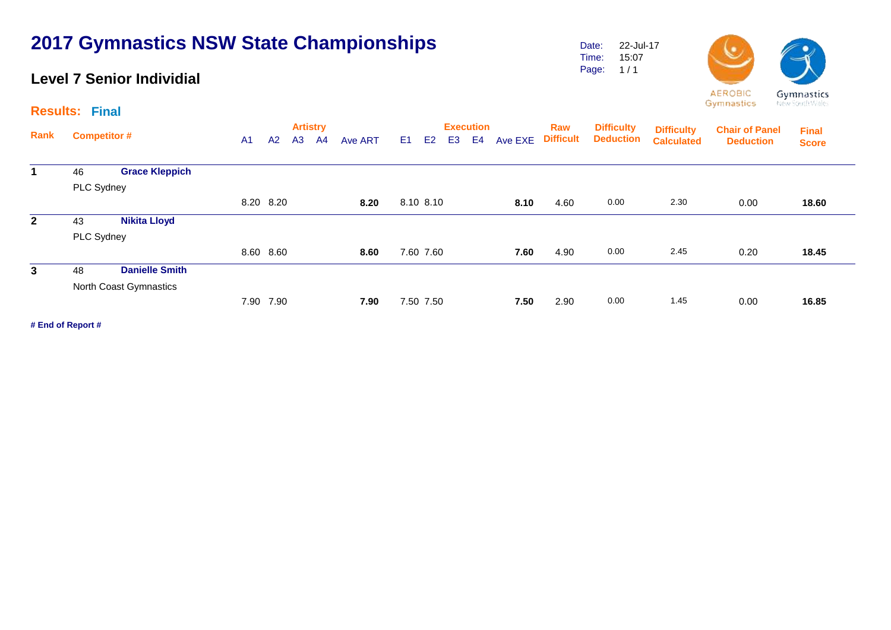#### **Level 7 Senior Individial**

Date: Time: Page: 1 / 1 22-Jul-17 15:07



Gymnastics

Gymnastics New South Wales

|                | <b>Results: Final</b> |                        |                |           |    |                       |         |    |                |                |                                    |         |                         |                                       |                                        | the first parties are able to             |                              |  |
|----------------|-----------------------|------------------------|----------------|-----------|----|-----------------------|---------|----|----------------|----------------|------------------------------------|---------|-------------------------|---------------------------------------|----------------------------------------|-------------------------------------------|------------------------------|--|
| Rank           | <b>Competitor #</b>   |                        | A <sub>1</sub> | A2        | A3 | <b>Artistry</b><br>A4 | Ave ART | E1 | E <sub>2</sub> | E <sub>3</sub> | <b>Execution</b><br>E <sub>4</sub> | Ave EXE | Raw<br><b>Difficult</b> | <b>Difficulty</b><br><b>Deduction</b> | <b>Difficulty</b><br><b>Calculated</b> | <b>Chair of Panel</b><br><b>Deduction</b> | <b>Final</b><br><b>Score</b> |  |
| $\mathbf 1$    | 46                    | <b>Grace Kleppich</b>  |                |           |    |                       |         |    |                |                |                                    |         |                         |                                       |                                        |                                           |                              |  |
|                | PLC Sydney            |                        |                |           |    |                       |         |    |                |                |                                    |         |                         |                                       |                                        |                                           |                              |  |
|                |                       |                        |                | 8.20 8.20 |    |                       | 8.20    |    | 8.10 8.10      |                |                                    | 8.10    | 4.60                    | 0.00                                  | 2.30                                   | 0.00                                      | 18.60                        |  |
| $\overline{2}$ | 43                    | <b>Nikita Lloyd</b>    |                |           |    |                       |         |    |                |                |                                    |         |                         |                                       |                                        |                                           |                              |  |
|                | PLC Sydney            |                        |                |           |    |                       |         |    |                |                |                                    |         |                         |                                       |                                        |                                           |                              |  |
|                |                       |                        |                | 8.60 8.60 |    |                       | 8.60    |    | 7.60 7.60      |                |                                    | 7.60    | 4.90                    | 0.00                                  | 2.45                                   | 0.20                                      | 18.45                        |  |
| $\mathbf{3}$   | 48                    | <b>Danielle Smith</b>  |                |           |    |                       |         |    |                |                |                                    |         |                         |                                       |                                        |                                           |                              |  |
|                |                       | North Coast Gymnastics |                |           |    |                       |         |    |                |                |                                    |         |                         |                                       |                                        |                                           |                              |  |
|                |                       |                        |                | 7.90 7.90 |    |                       | 7.90    |    | 7.50 7.50      |                |                                    | 7.50    | 2.90                    | 0.00                                  | 1.45                                   | 0.00                                      | 16.85                        |  |
|                |                       |                        |                |           |    |                       |         |    |                |                |                                    |         |                         |                                       |                                        |                                           |                              |  |